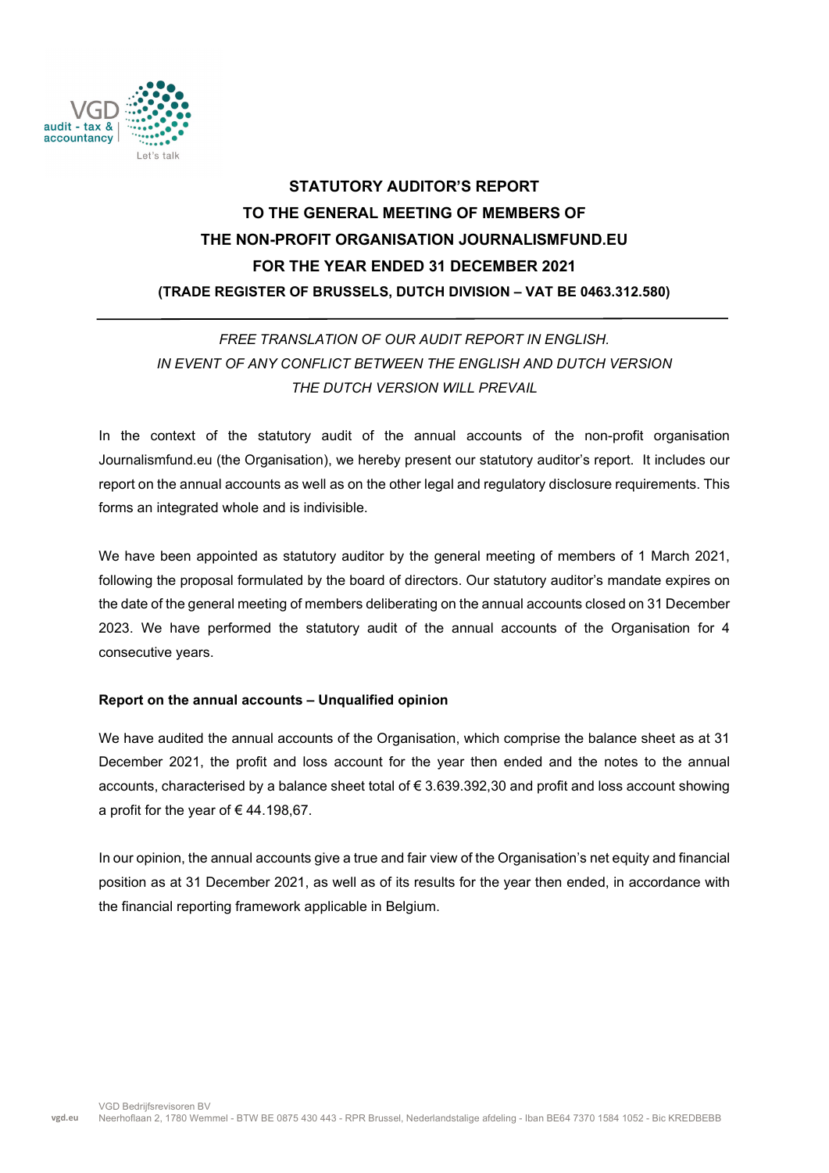

# **STATUTORY AUDITOR'S REPORT TO THE GENERAL MEETING OF MEMBERS OF THE NON-PROFIT ORGANISATION JOURNALISMFUND.EU FOR THE YEAR ENDED 31 DECEMBER 2021 (TRADE REGISTER OF BRUSSELS, DUTCH DIVISION – VAT BE 0463.312.580)**

# *FREE TRANSLATION OF OUR AUDIT REPORT IN ENGLISH. IN EVENT OF ANY CONFLICT BETWEEN THE ENGLISH AND DUTCH VERSION THE DUTCH VERSION WILL PREVAIL*

In the context of the statutory audit of the annual accounts of the non-profit organisation Journalismfund.eu (the Organisation), we hereby present our statutory auditor's report. It includes our report on the annual accounts as well as on the other legal and regulatory disclosure requirements. This forms an integrated whole and is indivisible.

We have been appointed as statutory auditor by the general meeting of members of 1 March 2021, following the proposal formulated by the board of directors. Our statutory auditor's mandate expires on the date of the general meeting of members deliberating on the annual accounts closed on 31 December 2023. We have performed the statutory audit of the annual accounts of the Organisation for 4 consecutive years.

# **Report on the annual accounts – Unqualified opinion**

We have audited the annual accounts of the Organisation, which comprise the balance sheet as at 31 December 2021, the profit and loss account for the year then ended and the notes to the annual accounts, characterised by a balance sheet total of € 3.639.392,30 and profit and loss account showing a profit for the year of  $\epsilon$  44.198,67.

In our opinion, the annual accounts give a true and fair view of the Organisation's net equity and financial position as at 31 December 2021, as well as of its results for the year then ended, in accordance with the financial reporting framework applicable in Belgium.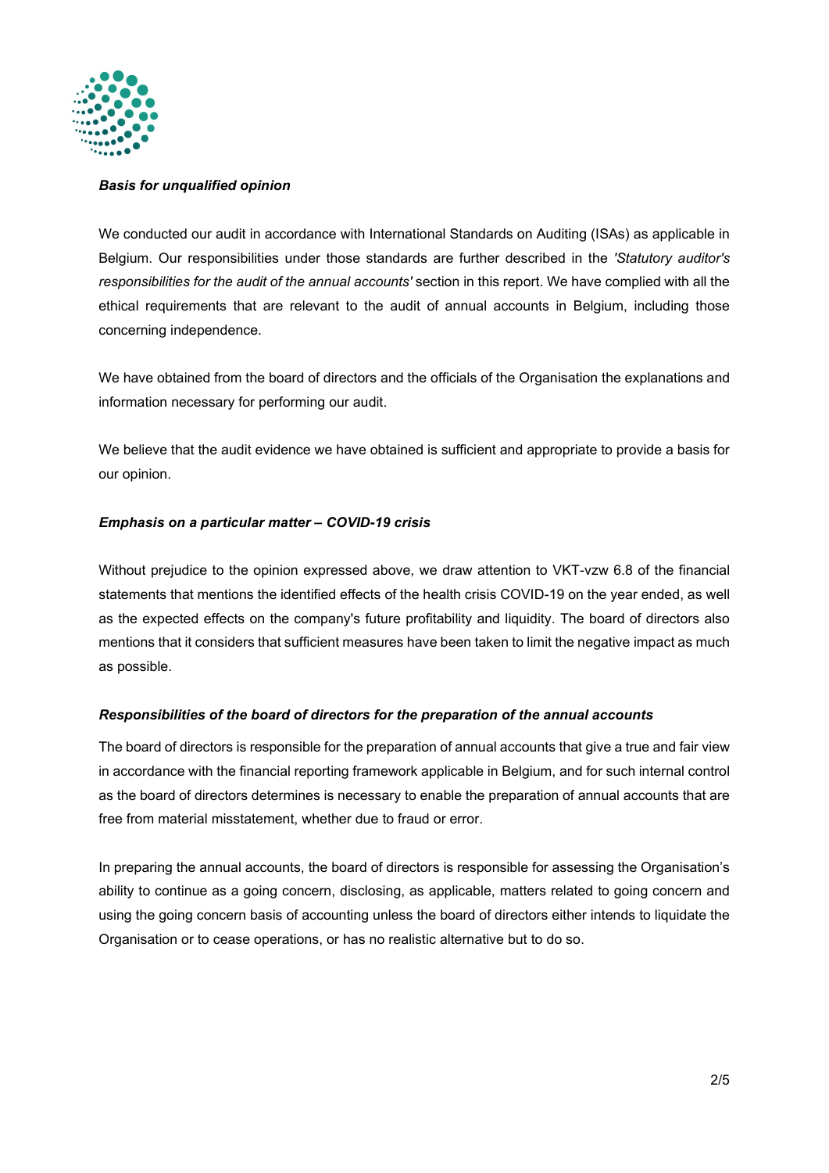

#### *Basis for unqualified opinion*

We conducted our audit in accordance with International Standards on Auditing (ISAs) as applicable in Belgium. Our responsibilities under those standards are further described in the *'Statutory auditor's responsibilities for the audit of the annual accounts'* section in this report. We have complied with all the ethical requirements that are relevant to the audit of annual accounts in Belgium, including those concerning independence.

We have obtained from the board of directors and the officials of the Organisation the explanations and information necessary for performing our audit.

We believe that the audit evidence we have obtained is sufficient and appropriate to provide a basis for our opinion.

### *Emphasis on a particular matter – COVID-19 crisis*

Without prejudice to the opinion expressed above, we draw attention to VKT-vzw 6.8 of the financial statements that mentions the identified effects of the health crisis COVID-19 on the year ended, as well as the expected effects on the company's future profitability and liquidity. The board of directors also mentions that it considers that sufficient measures have been taken to limit the negative impact as much as possible.

### *Responsibilities of the board of directors for the preparation of the annual accounts*

The board of directors is responsible for the preparation of annual accounts that give a true and fair view in accordance with the financial reporting framework applicable in Belgium, and for such internal control as the board of directors determines is necessary to enable the preparation of annual accounts that are free from material misstatement, whether due to fraud or error.

In preparing the annual accounts, the board of directors is responsible for assessing the Organisation's ability to continue as a going concern, disclosing, as applicable, matters related to going concern and using the going concern basis of accounting unless the board of directors either intends to liquidate the Organisation or to cease operations, or has no realistic alternative but to do so.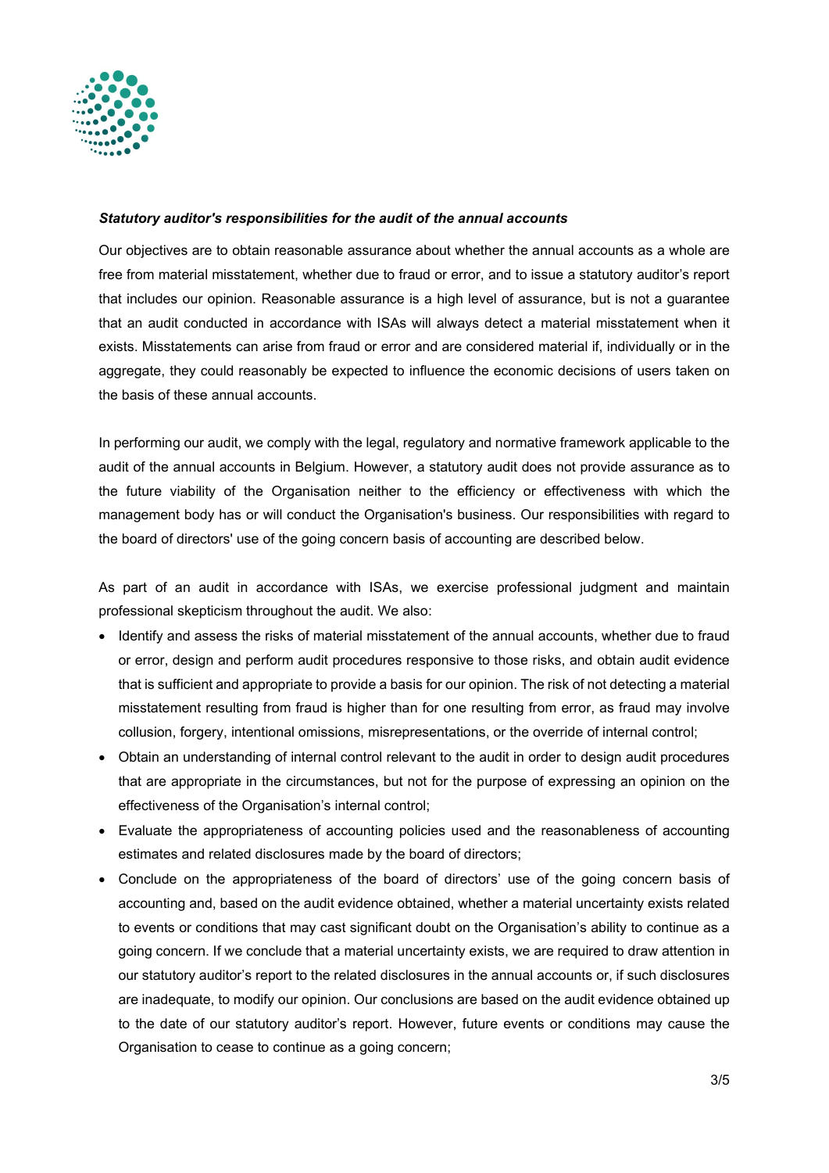

### *Statutory auditor's responsibilities for the audit of the annual accounts*

Our objectives are to obtain reasonable assurance about whether the annual accounts as a whole are free from material misstatement, whether due to fraud or error, and to issue a statutory auditor's report that includes our opinion. Reasonable assurance is a high level of assurance, but is not a guarantee that an audit conducted in accordance with ISAs will always detect a material misstatement when it exists. Misstatements can arise from fraud or error and are considered material if, individually or in the aggregate, they could reasonably be expected to influence the economic decisions of users taken on the basis of these annual accounts.

In performing our audit, we comply with the legal, regulatory and normative framework applicable to the audit of the annual accounts in Belgium. However, a statutory audit does not provide assurance as to the future viability of the Organisation neither to the efficiency or effectiveness with which the management body has or will conduct the Organisation's business. Our responsibilities with regard to the board of directors' use of the going concern basis of accounting are described below.

As part of an audit in accordance with ISAs, we exercise professional judgment and maintain professional skepticism throughout the audit. We also:

- Identify and assess the risks of material misstatement of the annual accounts, whether due to fraud or error, design and perform audit procedures responsive to those risks, and obtain audit evidence that is sufficient and appropriate to provide a basis for our opinion. The risk of not detecting a material misstatement resulting from fraud is higher than for one resulting from error, as fraud may involve collusion, forgery, intentional omissions, misrepresentations, or the override of internal control;
- Obtain an understanding of internal control relevant to the audit in order to design audit procedures that are appropriate in the circumstances, but not for the purpose of expressing an opinion on the effectiveness of the Organisation's internal control;
- Evaluate the appropriateness of accounting policies used and the reasonableness of accounting estimates and related disclosures made by the board of directors;
- Conclude on the appropriateness of the board of directors' use of the going concern basis of accounting and, based on the audit evidence obtained, whether a material uncertainty exists related to events or conditions that may cast significant doubt on the Organisation's ability to continue as a going concern. If we conclude that a material uncertainty exists, we are required to draw attention in our statutory auditor's report to the related disclosures in the annual accounts or, if such disclosures are inadequate, to modify our opinion. Our conclusions are based on the audit evidence obtained up to the date of our statutory auditor's report. However, future events or conditions may cause the Organisation to cease to continue as a going concern;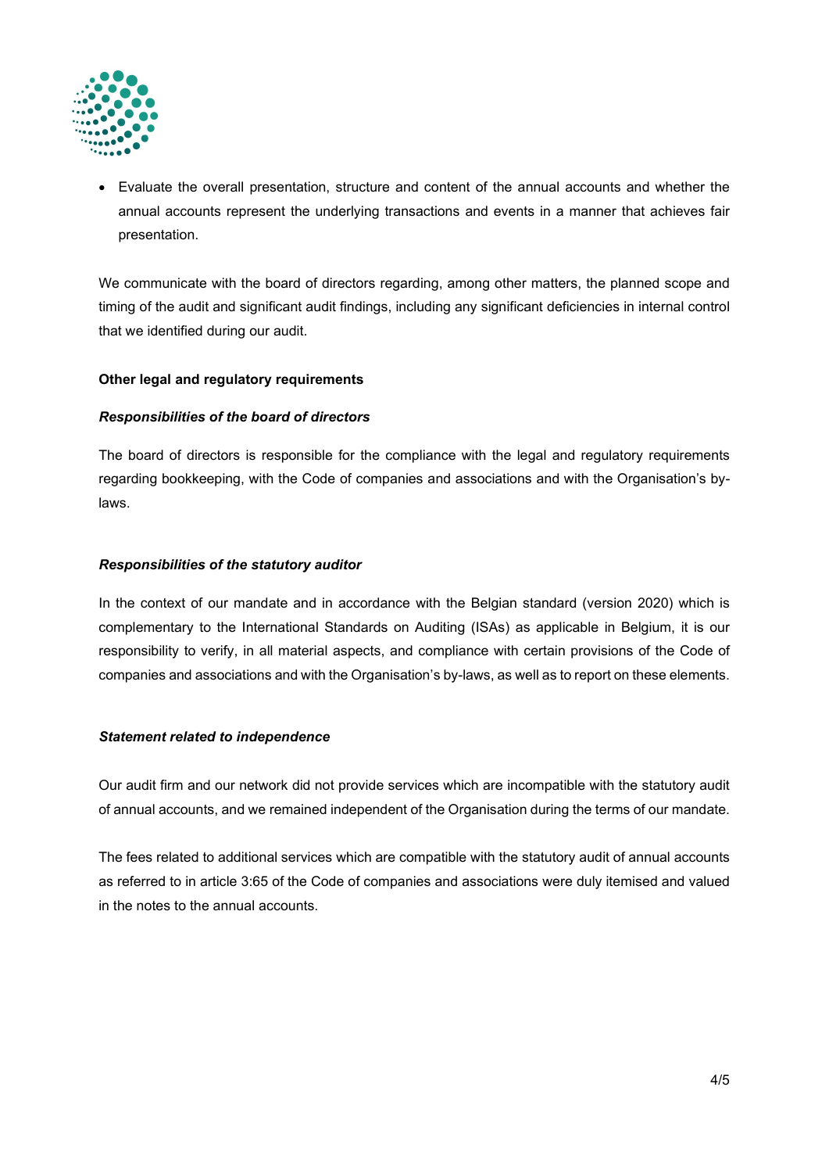

• Evaluate the overall presentation, structure and content of the annual accounts and whether the annual accounts represent the underlying transactions and events in a manner that achieves fair presentation.

We communicate with the board of directors regarding, among other matters, the planned scope and timing of the audit and significant audit findings, including any significant deficiencies in internal control that we identified during our audit.

# **Other legal and regulatory requirements**

# *Responsibilities of the board of directors*

The board of directors is responsible for the compliance with the legal and regulatory requirements regarding bookkeeping, with the Code of companies and associations and with the Organisation's bylaws.

# *Responsibilities of the statutory auditor*

In the context of our mandate and in accordance with the Belgian standard (version 2020) which is complementary to the International Standards on Auditing (ISAs) as applicable in Belgium, it is our responsibility to verify, in all material aspects, and compliance with certain provisions of the Code of companies and associations and with the Organisation's by-laws, as well as to report on these elements.

### *Statement related to independence*

Our audit firm and our network did not provide services which are incompatible with the statutory audit of annual accounts, and we remained independent of the Organisation during the terms of our mandate.

The fees related to additional services which are compatible with the statutory audit of annual accounts as referred to in article 3:65 of the Code of companies and associations were duly itemised and valued in the notes to the annual accounts.